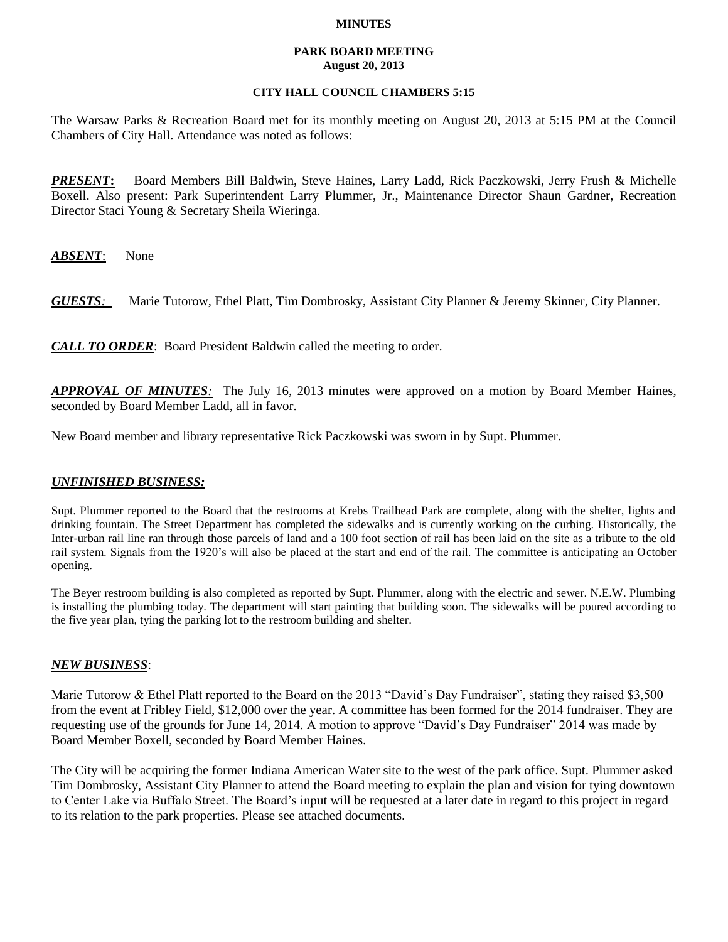### **MINUTES**

### **PARK BOARD MEETING August 20, 2013**

# **CITY HALL COUNCIL CHAMBERS 5:15**

The Warsaw Parks & Recreation Board met for its monthly meeting on August 20, 2013 at 5:15 PM at the Council Chambers of City Hall. Attendance was noted as follows:

*PRESENT***:** Board Members Bill Baldwin, Steve Haines, Larry Ladd, Rick Paczkowski, Jerry Frush & Michelle Boxell. Also present: Park Superintendent Larry Plummer, Jr., Maintenance Director Shaun Gardner, Recreation Director Staci Young & Secretary Sheila Wieringa.

*ABSENT*: None

*GUESTS:*Marie Tutorow, Ethel Platt, Tim Dombrosky, Assistant City Planner & Jeremy Skinner, City Planner.

*CALL TO ORDER*: Board President Baldwin called the meeting to order.

*APPROVAL OF MINUTES:* The July 16, 2013 minutes were approved on a motion by Board Member Haines, seconded by Board Member Ladd, all in favor.

New Board member and library representative Rick Paczkowski was sworn in by Supt. Plummer.

# *UNFINISHED BUSINESS:*

Supt. Plummer reported to the Board that the restrooms at Krebs Trailhead Park are complete, along with the shelter, lights and drinking fountain. The Street Department has completed the sidewalks and is currently working on the curbing. Historically, the Inter-urban rail line ran through those parcels of land and a 100 foot section of rail has been laid on the site as a tribute to the old rail system. Signals from the 1920's will also be placed at the start and end of the rail. The committee is anticipating an October opening.

The Beyer restroom building is also completed as reported by Supt. Plummer, along with the electric and sewer. N.E.W. Plumbing is installing the plumbing today. The department will start painting that building soon. The sidewalks will be poured according to the five year plan, tying the parking lot to the restroom building and shelter.

# *NEW BUSINESS*:

Marie Tutorow & Ethel Platt reported to the Board on the 2013 "David's Day Fundraiser", stating they raised \$3,500 from the event at Fribley Field, \$12,000 over the year. A committee has been formed for the 2014 fundraiser. They are requesting use of the grounds for June 14, 2014. A motion to approve "David's Day Fundraiser" 2014 was made by Board Member Boxell, seconded by Board Member Haines.

The City will be acquiring the former Indiana American Water site to the west of the park office. Supt. Plummer asked Tim Dombrosky, Assistant City Planner to attend the Board meeting to explain the plan and vision for tying downtown to Center Lake via Buffalo Street. The Board's input will be requested at a later date in regard to this project in regard to its relation to the park properties. Please see attached documents.